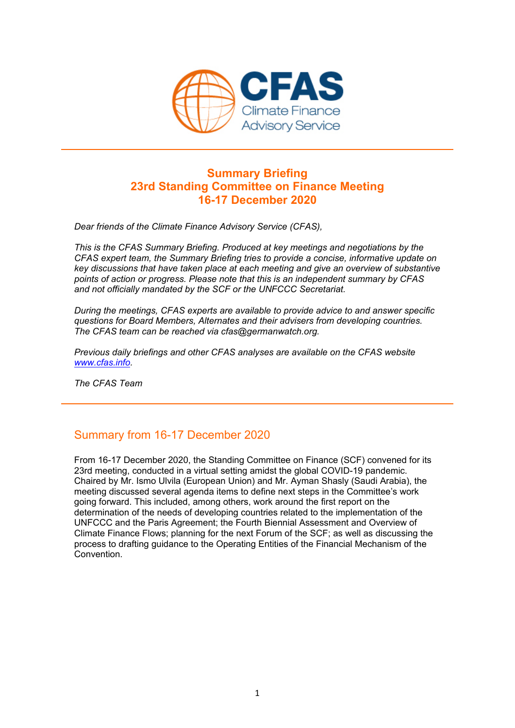

### **Summary Briefing 23rd Standing Committee on Finance Meeting 16-17 December 2020**

*Dear friends of the Climate Finance Advisory Service (CFAS),* 

*This is the CFAS Summary Briefing. Produced at key meetings and negotiations by the CFAS expert team, the Summary Briefing tries to provide a concise, informative update on key discussions that have taken place at each meeting and give an overview of substantive points of action or progress. Please note that this is an independent summary by CFAS and not officially mandated by the SCF or the UNFCCC Secretariat.* 

*During the meetings, CFAS experts are available to provide advice to and answer specific questions for Board Members, Alternates and their advisers from developing countries. The CFAS team can be reached via cfas@germanwatch.org.* 

*Previous daily briefings and other CFAS analyses are available on the CFAS website www.cfas.info.* 

*The CFAS Team*

# Summary from 16-17 December 2020

From 16-17 December 2020, the Standing Committee on Finance (SCF) convened for its 23rd meeting, conducted in a virtual setting amidst the global COVID-19 pandemic. Chaired by Mr. Ismo Ulvila (European Union) and Mr. Ayman Shasly (Saudi Arabia), the meeting discussed several agenda items to define next steps in the Committee's work going forward. This included, among others, work around the first report on the determination of the needs of developing countries related to the implementation of the UNFCCC and the Paris Agreement; the Fourth Biennial Assessment and Overview of Climate Finance Flows; planning for the next Forum of the SCF; as well as discussing the process to drafting guidance to the Operating Entities of the Financial Mechanism of the Convention.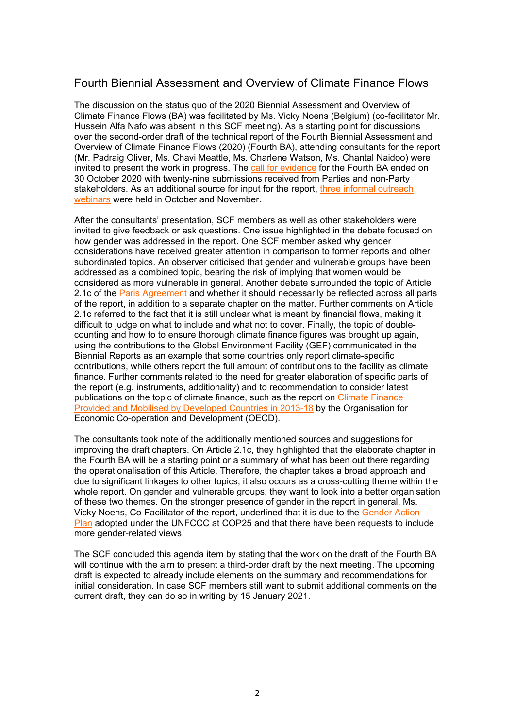## Fourth Biennial Assessment and Overview of Climate Finance Flows

The discussion on the status quo of the 2020 Biennial Assessment and Overview of Climate Finance Flows (BA) was facilitated by Ms. Vicky Noens (Belgium) (co-facilitator Mr. Hussein Alfa Nafo was absent in this SCF meeting). As a starting point for discussions over the second-order draft of the technical report of the Fourth Biennial Assessment and Overview of Climate Finance Flows (2020) (Fourth BA), attending consultants for the report (Mr. Padraig Oliver, Ms. Chavi Meattle, Ms. Charlene Watson, Ms. Chantal Naidoo) were invited to present the work in progress. The call for evidence for the Fourth BA ended on 30 October 2020 with twenty-nine submissions received from Parties and non-Party stakeholders. As an additional source for input for the report, three informal outreach webinars were held in October and November.

After the consultants' presentation, SCF members as well as other stakeholders were invited to give feedback or ask questions. One issue highlighted in the debate focused on how gender was addressed in the report. One SCF member asked why gender considerations have received greater attention in comparison to former reports and other subordinated topics. An observer criticised that gender and vulnerable groups have been addressed as a combined topic, bearing the risk of implying that women would be considered as more vulnerable in general. Another debate surrounded the topic of Article 2.1c of the Paris Agreement and whether it should necessarily be reflected across all parts of the report, in addition to a separate chapter on the matter. Further comments on Article 2.1c referred to the fact that it is still unclear what is meant by financial flows, making it difficult to judge on what to include and what not to cover. Finally, the topic of doublecounting and how to to ensure thorough climate finance figures was brought up again, using the contributions to the Global Environment Facility (GEF) communicated in the Biennial Reports as an example that some countries only report climate-specific contributions, while others report the full amount of contributions to the facility as climate finance. Further comments related to the need for greater elaboration of specific parts of the report (e.g. instruments, additionality) and to recommendation to consider latest publications on the topic of climate finance, such as the report on Climate Finance Provided and Mobilised by Developed Countries in 2013-18 by the Organisation for Economic Co-operation and Development (OECD).

The consultants took note of the additionally mentioned sources and suggestions for improving the draft chapters. On Article 2.1c, they highlighted that the elaborate chapter in the Fourth BA will be a starting point or a summary of what has been out there regarding the operationalisation of this Article. Therefore, the chapter takes a broad approach and due to significant linkages to other topics, it also occurs as a cross-cutting theme within the whole report. On gender and vulnerable groups, they want to look into a better organisation of these two themes. On the stronger presence of gender in the report in general, Ms. Vicky Noens, Co-Facilitator of the report, underlined that it is due to the Gender Action Plan adopted under the UNFCCC at COP25 and that there have been requests to include more gender-related views.

The SCF concluded this agenda item by stating that the work on the draft of the Fourth BA will continue with the aim to present a third-order draft by the next meeting. The upcoming draft is expected to already include elements on the summary and recommendations for initial consideration. In case SCF members still want to submit additional comments on the current draft, they can do so in writing by 15 January 2021.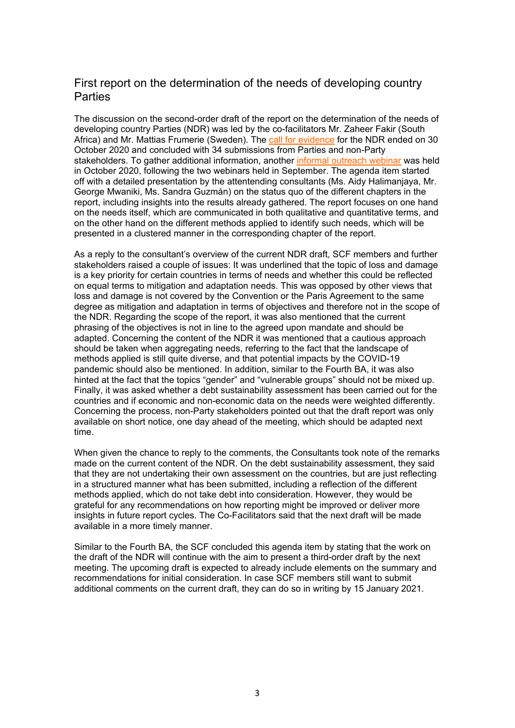#### First report on the determination of the needs of developing country Parties

The discussion on the second-order draft of the report on the determination of the needs of developing country Parties (NDR) was led by the co-facilitators Mr. Zaheer Fakir (South Africa) and Mr. Mattias Frumerie (Sweden). The call for evidence for the NDR ended on 30 October 2020 and concluded with 34 submissions from Parties and non-Party stakeholders. To gather additional information, another informal outreach webinar was held in October 2020, following the two webinars held in September. The agenda item started off with a detailed presentation by the attentending consultants (Ms. Aidy Halimanjaya, Mr. George Mwaniki, Ms. Sandra Guzmán) on the status quo of the different chapters in the report, including insights into the results already gathered. The report focuses on one hand on the needs itself, which are communicated in both qualitative and quantitative terms, and on the other hand on the different methods applied to identify such needs, which will be presented in a clustered manner in the corresponding chapter of the report.

As a reply to the consultant's overview of the current NDR draft, SCF members and further stakeholders raised a couple of issues: It was underlined that the topic of loss and damage is a key priority for certain countries in terms of needs and whether this could be reflected on equal terms to mitigation and adaptation needs. This was opposed by other views that loss and damage is not covered by the Convention or the Paris Agreement to the same degree as mitigation and adaptation in terms of objectives and therefore not in the scope of the NDR. Regarding the scope of the report, it was also mentioned that the current phrasing of the objectives is not in line to the agreed upon mandate and should be adapted. Concerning the content of the NDR it was mentioned that a cautious approach should be taken when aggregating needs, referring to the fact that the landscape of methods applied is still quite diverse, and that potential impacts by the COVID-19 pandemic should also be mentioned. In addition, similar to the Fourth BA, it was also hinted at the fact that the topics "gender" and "vulnerable groups" should not be mixed up. Finally, it was asked whether a debt sustainability assessment has been carried out for the countries and if economic and non-economic data on the needs were weighted differently. Concerning the process, non-Party stakeholders pointed out that the draft report was only available on short notice, one day ahead of the meeting, which should be adapted next time.

When given the chance to reply to the comments, the Consultants took note of the remarks made on the current content of the NDR. On the debt sustainability assessment, they said that they are not undertaking their own assessment on the countries, but are just reflecting in a structured manner what has been submitted, including a reflection of the different methods applied, which do not take debt into consideration. However, they would be grateful for any recommendations on how reporting might be improved or deliver more insights in future report cycles. The Co-Facilitators said that the next draft will be made available in a more timely manner.

Similar to the Fourth BA, the SCF concluded this agenda item by stating that the work on the draft of the NDR will continue with the aim to present a third-order draft by the next meeting. The upcoming draft is expected to already include elements on the summary and recommendations for initial consideration. In case SCF members still want to submit additional comments on the current draft, they can do so in writing by 15 January 2021.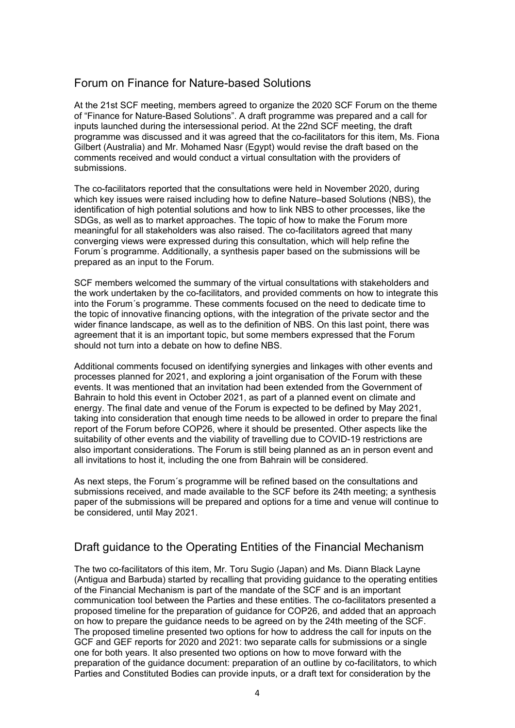### Forum on Finance for Nature-based Solutions

At the 21st SCF meeting, members agreed to organize the 2020 SCF Forum on the theme of "Finance for Nature-Based Solutions". A draft programme was prepared and a call for inputs launched during the intersessional period. At the 22nd SCF meeting, the draft programme was discussed and it was agreed that the co-facilitators for this item, Ms. Fiona Gilbert (Australia) and Mr. Mohamed Nasr (Egypt) would revise the draft based on the comments received and would conduct a virtual consultation with the providers of submissions.

The co-facilitators reported that the consultations were held in November 2020, during which key issues were raised including how to define Nature–based Solutions (NBS), the identification of high potential solutions and how to link NBS to other processes, like the SDGs, as well as to market approaches. The topic of how to make the Forum more meaningful for all stakeholders was also raised. The co-facilitators agreed that many converging views were expressed during this consultation, which will help refine the Forum´s programme. Additionally, a synthesis paper based on the submissions will be prepared as an input to the Forum.

SCF members welcomed the summary of the virtual consultations with stakeholders and the work undertaken by the co-facilitators, and provided comments on how to integrate this into the Forum´s programme. These comments focused on the need to dedicate time to the topic of innovative financing options, with the integration of the private sector and the wider finance landscape, as well as to the definition of NBS. On this last point, there was agreement that it is an important topic, but some members expressed that the Forum should not turn into a debate on how to define NBS.

Additional comments focused on identifying synergies and linkages with other events and processes planned for 2021, and exploring a joint organisation of the Forum with these events. It was mentioned that an invitation had been extended from the Government of Bahrain to hold this event in October 2021, as part of a planned event on climate and energy. The final date and venue of the Forum is expected to be defined by May 2021, taking into consideration that enough time needs to be allowed in order to prepare the final report of the Forum before COP26, where it should be presented. Other aspects like the suitability of other events and the viability of travelling due to COVID-19 restrictions are also important considerations. The Forum is still being planned as an in person event and all invitations to host it, including the one from Bahrain will be considered.

As next steps, the Forum´s programme will be refined based on the consultations and submissions received, and made available to the SCF before its 24th meeting; a synthesis paper of the submissions will be prepared and options for a time and venue will continue to be considered, until May 2021.

#### Draft guidance to the Operating Entities of the Financial Mechanism

The two co-facilitators of this item, Mr. Toru Sugio (Japan) and Ms. Diann Black Layne (Antigua and Barbuda) started by recalling that providing guidance to the operating entities of the Financial Mechanism is part of the mandate of the SCF and is an important communication tool between the Parties and these entities. The co-facilitators presented a proposed timeline for the preparation of guidance for COP26, and added that an approach on how to prepare the guidance needs to be agreed on by the 24th meeting of the SCF. The proposed timeline presented two options for how to address the call for inputs on the GCF and GEF reports for 2020 and 2021: two separate calls for submissions or a single one for both years. It also presented two options on how to move forward with the preparation of the guidance document: preparation of an outline by co-facilitators, to which Parties and Constituted Bodies can provide inputs, or a draft text for consideration by the